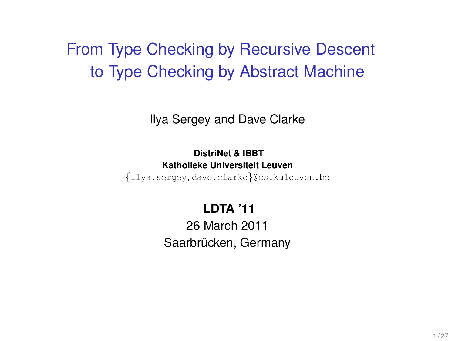## From Type Checking by Recursive Descent to Type Checking by Abstract Machine

Ilya Sergey and Dave Clarke

**DistriNet & IBBT Katholieke Universiteit Leuven**

{ilya.sergey,dave.clarke}@cs.kuleuven.be

#### **LDTA '11**

26 March 2011 Saarbrücken, Germany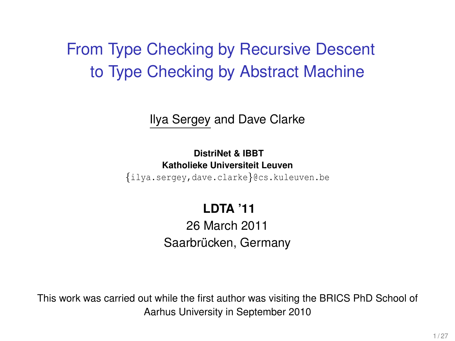## From Type Checking by Recursive Descent to Type Checking by Abstract Machine

Ilya Sergey and Dave Clarke

**DistriNet & IBBT Katholieke Universiteit Leuven**

{ilya.sergey,dave.clarke}@cs.kuleuven.be

#### **LDTA '11**

26 March 2011 Saarbrücken, Germany

This work was carried out while the first author was visiting the BRICS PhD School of Aarhus University in September 2010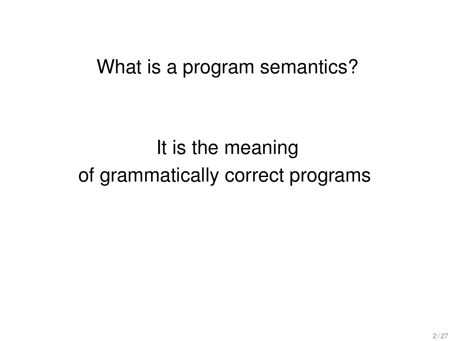# It is the meaning of grammatically correct programs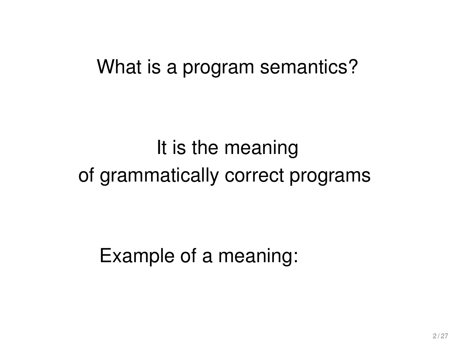# It is the meaning of grammatically correct programs

Example of a meaning: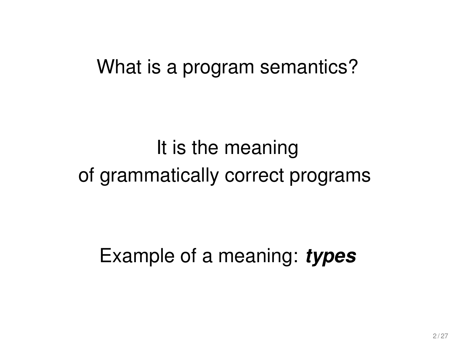# It is the meaning of grammatically correct programs

Example of a meaning: *types*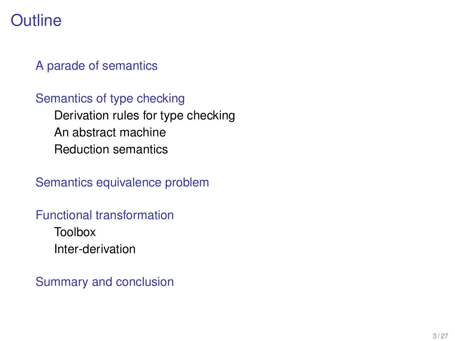## **Outline**

#### [A parade of semantics](#page-7-0)

#### [Semantics of type checking](#page-24-0) [Derivation rules for type checking](#page-25-0) [An abstract machine](#page-27-0) [Reduction semantics](#page-29-0)

[Semantics equivalence problem](#page-33-0)

#### [Functional transformation](#page-39-0)

[Toolbox](#page-42-0) [Inter-derivation](#page-48-0)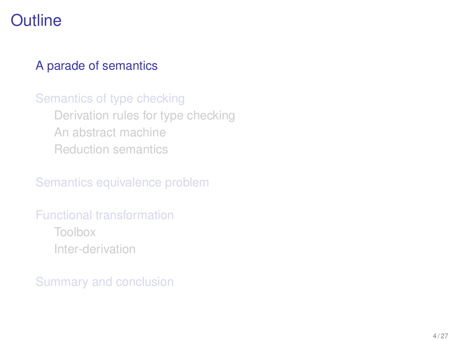## **Outline**

#### [A parade of semantics](#page-7-0)

#### [Semantics of type checking](#page-24-0) [Derivation rules for type checking](#page-25-0) [An abstract machine](#page-27-0) [Reduction semantics](#page-29-0)

[Semantics equivalence problem](#page-33-0)

## [Functional transformation](#page-39-0)

<span id="page-7-0"></span>[Toolbox](#page-42-0) [Inter-derivation](#page-48-0)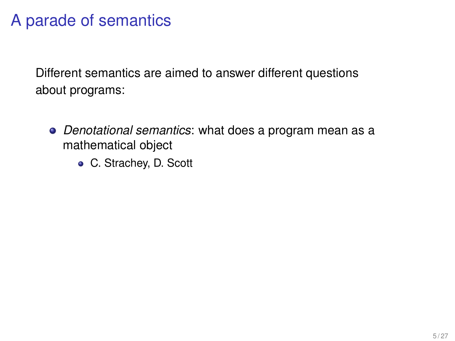- *Denotational semantics*: what does a program mean as a mathematical object
	- C. Strachey, D. Scott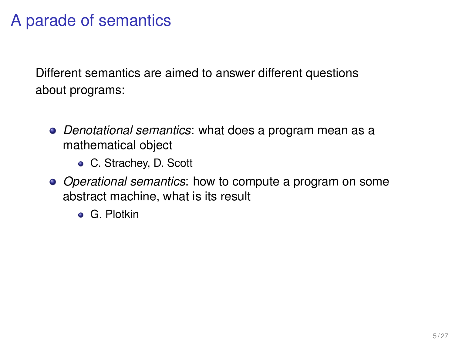- *Denotational semantics*: what does a program mean as a mathematical object
	- C. Strachey, D. Scott
- *Operational semantics*: how to compute a program on some abstract machine, what is its result
	- **•** G. Plotkin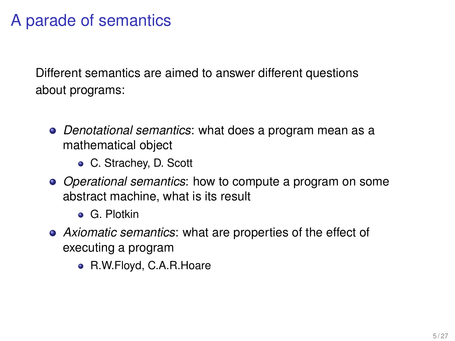- *Denotational semantics*: what does a program mean as a mathematical object
	- C. Strachey, D. Scott
- *Operational semantics*: how to compute a program on some abstract machine, what is its result
	- **o** G. Plotkin
- *Axiomatic semantics*: what are properties of the effect of executing a program
	- R.W.Floyd, C.A.R.Hoare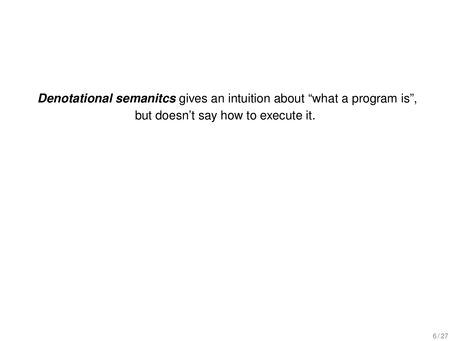*Denotational semanitcs* gives an intuition about "what a program is", but doesn't say how to execute it.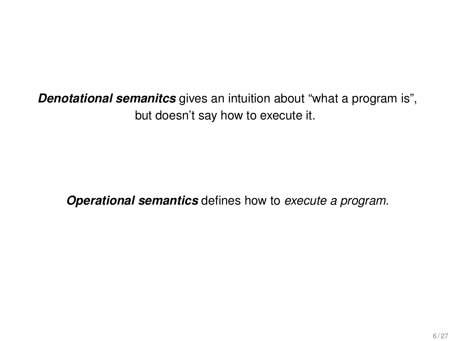*Denotational semanitcs* gives an intuition about "what a program is", but doesn't say how to execute it.

*Operational semantics* defines how to *execute a program*.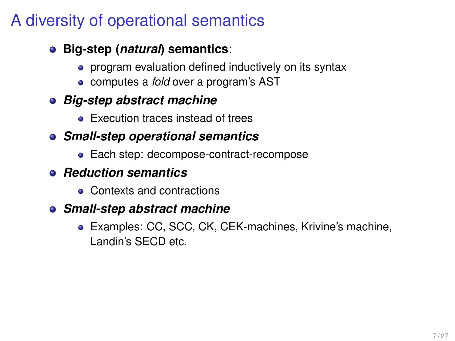## A diversity of operational semantics

#### **Big-step (***natural***) semantics**:

- program evaluation defined inductively on its syntax
- computes a *fold* over a program's AST

#### *Big-step abstract machine*

**Execution traces instead of trees** 

#### *Small-step operational semantics*

• Each step: decompose-contract-recompose

#### *Reduction semantics*

• Contexts and contractions

#### *Small-step abstract machine*

Examples: CC, SCC, CK, CEK-machines, Krivine's machine, Landin's SECD etc.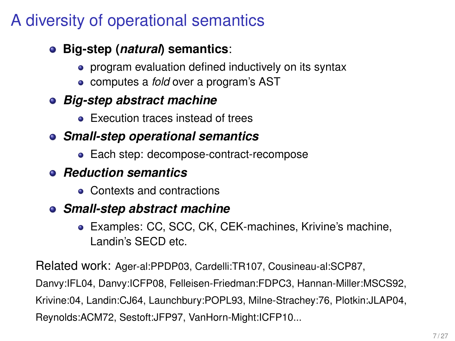## A diversity of operational semantics

#### **Big-step (***natural***) semantics**:

- program evaluation defined inductively on its syntax
- computes a *fold* over a program's AST

#### *Big-step abstract machine*

**Execution traces instead of trees** 

#### *Small-step operational semantics*

• Each step: decompose-contract-recompose

#### *Reduction semantics*

• Contexts and contractions

#### *Small-step abstract machine*

Examples: CC, SCC, CK, CEK-machines, Krivine's machine, Landin's SECD etc.

Related work: Ager-al:PPDP03, Cardelli:TR107, Cousineau-al:SCP87, Danvy:IFL04, Danvy:ICFP08, Felleisen-Friedman:FDPC3, Hannan-Miller:MSCS92, Krivine:04, Landin:CJ64, Launchbury:POPL93, Milne-Strachey:76, Plotkin:JLAP04, Reynolds:ACM72, Sestoft:JFP97, VanHorn-Might:ICFP10...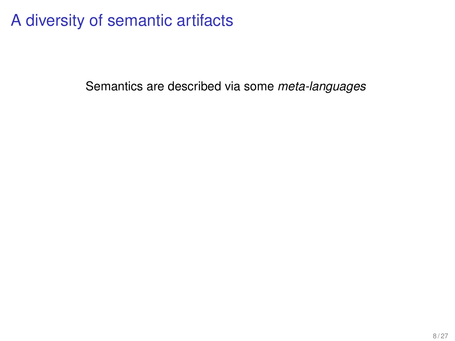## A diversity of semantic artifacts

Semantics are described via some *meta-languages*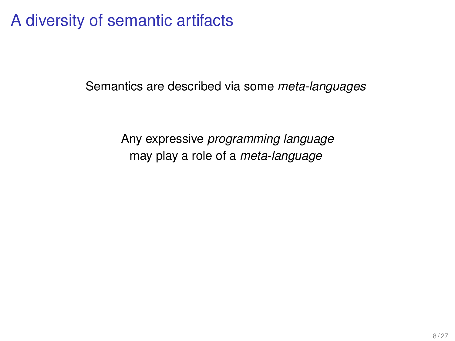## A diversity of semantic artifacts

Semantics are described via some *meta-languages*

Any expressive *programming language* may play a role of a *meta-language*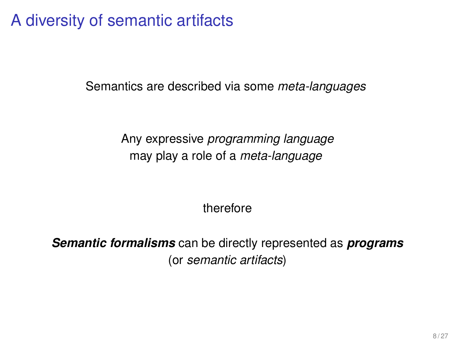A diversity of semantic artifacts

Semantics are described via some *meta-languages*

Any expressive *programming language* may play a role of a *meta-language*

therefore

*Semantic formalisms* can be directly represented as *programs* (or *semantic artifacts*)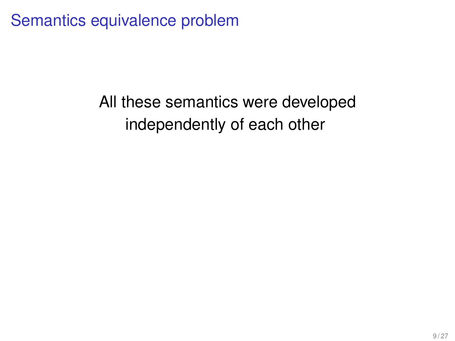Semantics equivalence problem

# All these semantics were developed independently of each other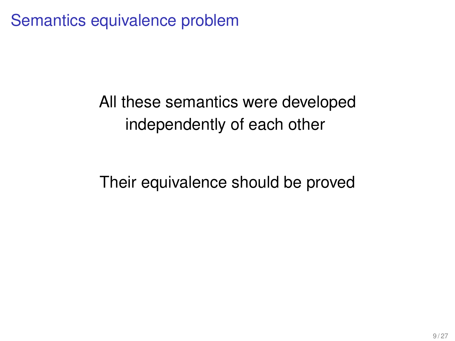Semantics equivalence problem

## All these semantics were developed independently of each other

Their equivalence should be proved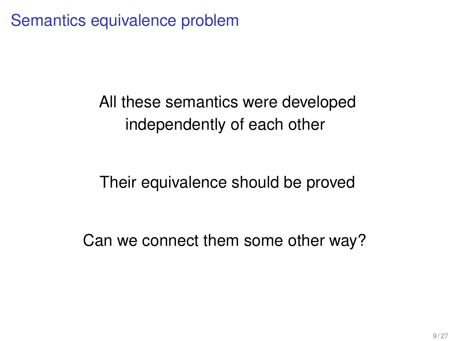Semantics equivalence problem

All these semantics were developed independently of each other

Their equivalence should be proved

Can we connect them some other way?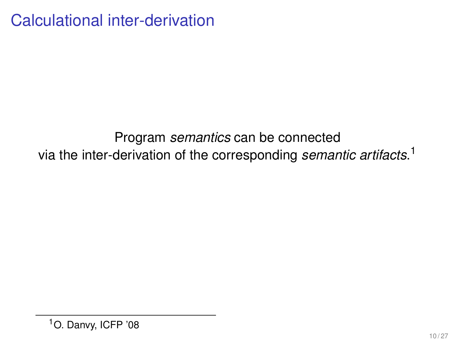Calculational inter-derivation

#### Program *semantics* can be connected via the inter-derivation of the corresponding *semantic artifacts*. 1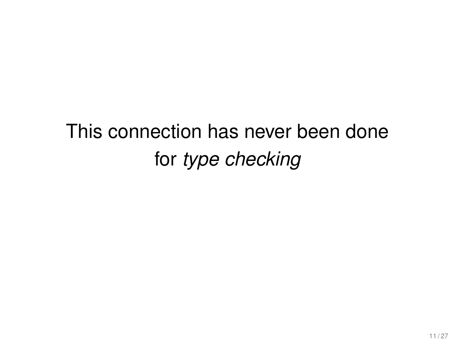# This connection has never been done for *type checking*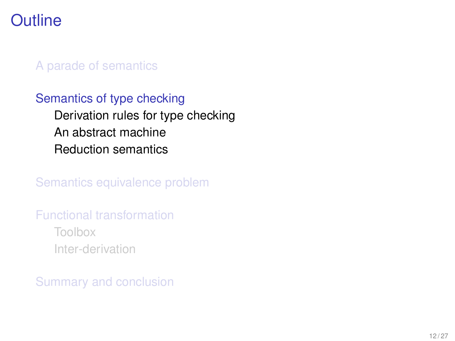## **Outline**

#### [A parade of semantics](#page-7-0)

#### [Semantics of type checking](#page-24-0) [Derivation rules for type checking](#page-25-0) [An abstract machine](#page-27-0) [Reduction semantics](#page-29-0)

[Semantics equivalence problem](#page-33-0)

#### [Functional transformation](#page-39-0) [Toolbox](#page-42-0)

<span id="page-24-0"></span>[Inter-derivation](#page-48-0)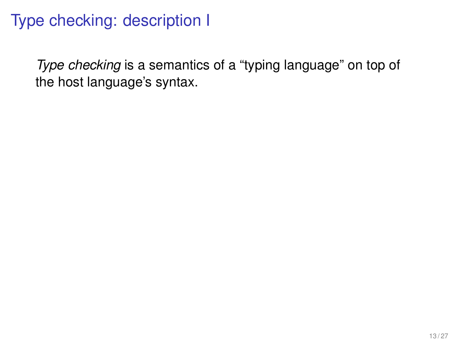## Type checking: description I

<span id="page-25-0"></span>*Type checking* is a semantics of a "typing language" on top of the host language's syntax.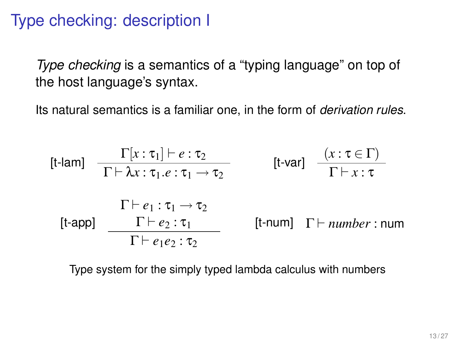## Type checking: description I

*Type checking* is a semantics of a "typing language" on top of the host language's syntax.

Its natural semantics is a familiar one, in the form of *derivation rules*.

$$
\begin{array}{ll}\n\text{[t-lam]} & \frac{\Gamma[x:\tau_1] \vdash e:\tau_2}{\Gamma \vdash \lambda x:\tau_1.e:\tau_1 \rightarrow \tau_2} & \text{[t-var]} & \frac{(x:\tau \in \Gamma)}{\Gamma \vdash x:\tau} \\
& \frac{\Gamma \vdash e_1:\tau_1 \rightarrow \tau_2}{\Gamma \vdash e_2:\tau_1} & \text{[t-num]} & \Gamma \vdash \textit{number}:\textit{num} \\
& \frac{\Gamma \vdash e_1 \cdot \tau_1}{\Gamma \vdash e_1 e_2:\tau_2} & \text{[t-num]} & \Gamma \vdash \textit{number}:\textit{num}\n\end{array}
$$

Type system for the simply typed lambda calculus with numbers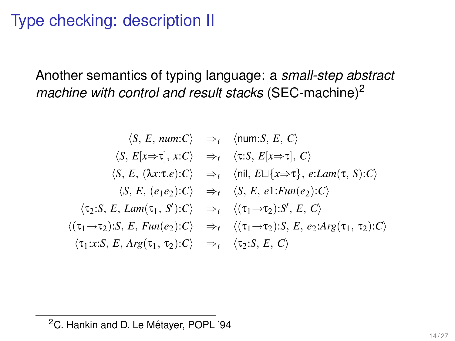## Type checking: description II

Another semantics of typing language: a *small-step abstract machine with control and result stacks* (SEC-machine)<sup>2</sup>

$$
\langle S, E, num:C \rangle \Rightarrow_t \langle num:S, E, C \rangle
$$
  
\n
$$
\langle S, E[x \Rightarrow \tau], x:C \rangle \Rightarrow_t \langle \tau:S, E[x \Rightarrow \tau], C \rangle
$$
  
\n
$$
\langle S, E, (\lambda x:\tau.e): C \rangle \Rightarrow_t \langle \text{nil}, E \sqcup \{x \Rightarrow \tau\}, e: Lam(\tau, S): C \rangle
$$
  
\n
$$
\langle S, E, (e_1e_2): C \rangle \Rightarrow_t \langle S, E, e_1:Fun(e_2): C \rangle
$$
  
\n
$$
\langle \tau_2:S, E, Lam(\tau_1, S'): C \rangle \Rightarrow_t \langle (\tau_1 \rightarrow \tau_2): S, E, C \rangle
$$
  
\n
$$
\langle (\tau_1 \rightarrow \tau_2): S, E, Fun(e_2): C \rangle \Rightarrow_t \langle (\tau_1 \rightarrow \tau_2): S, E, e_2: Arg(\tau_1, \tau_2): C \rangle
$$
  
\n
$$
\langle \tau_1: x:S, E, Arg(\tau_1, \tau_2): C \rangle \Rightarrow_t \langle \tau_2: S, E, C \rangle
$$

<span id="page-27-0"></span><sup>&</sup>lt;sup>2</sup>C. Hankin and D. Le Métayer, POPL '94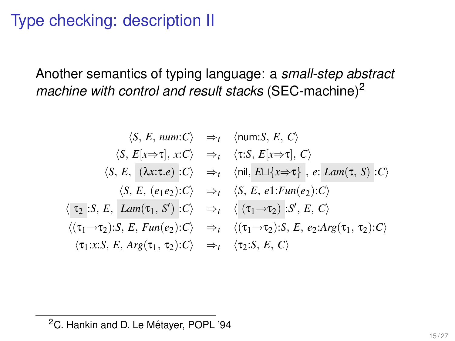## Type checking: description II

Another semantics of typing language: a *small-step abstract machine with control and result stacks* (SEC-machine)<sup>2</sup>

$$
\langle S, E, num:C \rangle \Rightarrow_t \langle num:S, E, C \rangle
$$
  
\n
$$
\langle S, E[x \Rightarrow \tau], x:C \rangle \Rightarrow_t \langle \tau:S, E[x \Rightarrow \tau], C \rangle
$$
  
\n
$$
\langle S, E, (\lambda x: \tau.e) : C \rangle \Rightarrow_t \langle nil, E \sqcup \{x \Rightarrow \tau\}, e: Lam(\tau, S) : C \rangle
$$
  
\n
$$
\langle S, E, (e_1e_2): C \rangle \Rightarrow_t \langle S, E, e_1:Fun(e_2): C \rangle
$$
  
\n
$$
\langle \tau_2 : S, E, Lam(\tau_1, S') : C \rangle \Rightarrow_t \langle (\tau_1 \rightarrow \tau_2) : S', E, C \rangle
$$
  
\n
$$
\langle (\tau_1 \rightarrow \tau_2) : S, E, Fun(e_2): C \rangle \Rightarrow_t \langle (\tau_1 \rightarrow \tau_2) : S, E, e_2: Arg(\tau_1, \tau_2): C \rangle
$$
  
\n
$$
\langle \tau_1 : x: S, E, Arg(\tau_1, \tau_2): C \rangle \Rightarrow_t \langle \tau_2 : S, E, C \rangle
$$

<sup>&</sup>lt;sup>2</sup>C. Hankin and D. Le Métayer, POPL '94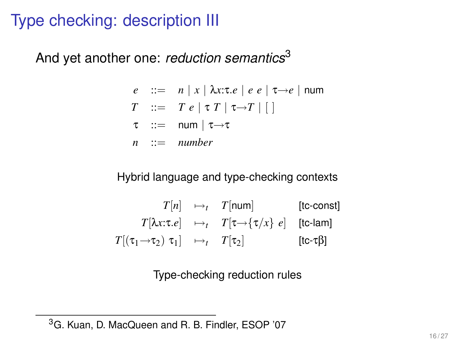## Type checking: description III

And yet another one: *reduction semantics*<sup>3</sup>

- $e$  ::=  $n | x | \lambda x : \tau \cdot e | e e | \tau \rightarrow e$  | num
- $T \ ::= T e | \tau T | \tau \rightarrow T |$
- $\tau$  ::= num |  $\tau \rightarrow \tau$
- *n* ::= *number*

#### Hybrid language and type-checking contexts

$$
T[n] \longrightarrow_t T[\text{num}] \qquad \text{[tc-const]}
$$
\n
$$
T[\lambda x: \tau.e] \longrightarrow_t T[\tau \longrightarrow \{\tau/x\} \ e] \qquad \text{[tc-lam]}
$$
\n
$$
T[(\tau_1 \longrightarrow \tau_2) \ \tau_1] \longrightarrow_t T[\tau_2] \qquad \text{[tc-tf]}
$$

<span id="page-29-0"></span>Type-checking reduction rules

<sup>&</sup>lt;sup>3</sup>G. Kuan, D. MacQueen and R. B. Findler, ESOP '07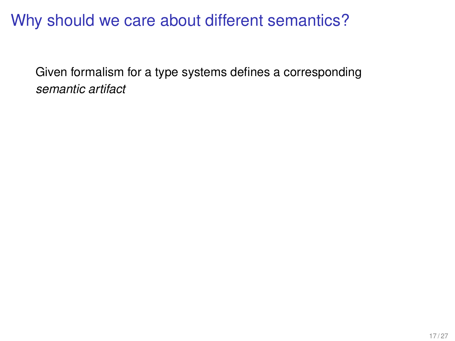## Why should we care about different semantics?

Given formalism for a type systems defines a corresponding *semantic artifact*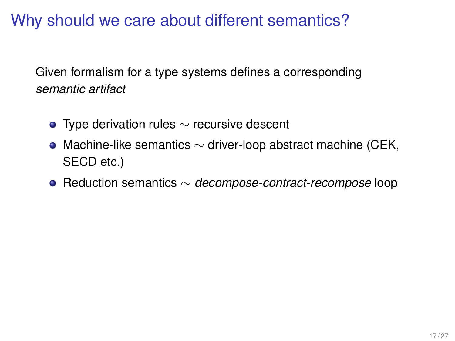Why should we care about different semantics?

Given formalism for a type systems defines a corresponding *semantic artifact*

- $\bullet$  Type derivation rules  $\sim$  recursive descent
- Machine-like semantics  $\sim$  driver-loop abstract machine (CEK, SECD etc.)
- Reduction semantics ∼ *decompose-contract-recompose* loop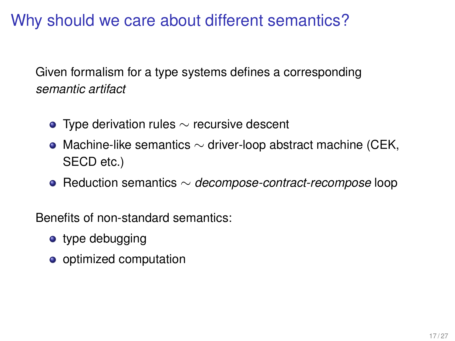Why should we care about different semantics?

Given formalism for a type systems defines a corresponding *semantic artifact*

- $\bullet$  Type derivation rules  $\sim$  recursive descent
- Machine-like semantics  $\sim$  driver-loop abstract machine (CEK, SECD etc.)
- Reduction semantics ∼ *decompose-contract-recompose* loop

Benefits of non-standard semantics:

- type debugging
- o optimized computation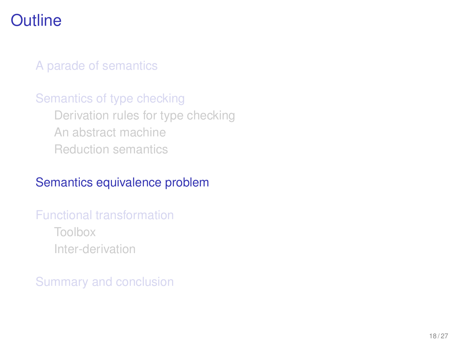## **Outline**

#### [A parade of semantics](#page-7-0)

#### [Semantics of type checking](#page-24-0) [Derivation rules for type checking](#page-25-0) [An abstract machine](#page-27-0) [Reduction semantics](#page-29-0)

#### [Semantics equivalence problem](#page-33-0)

#### [Functional transformation](#page-39-0)

<span id="page-33-0"></span>[Toolbox](#page-42-0) [Inter-derivation](#page-48-0)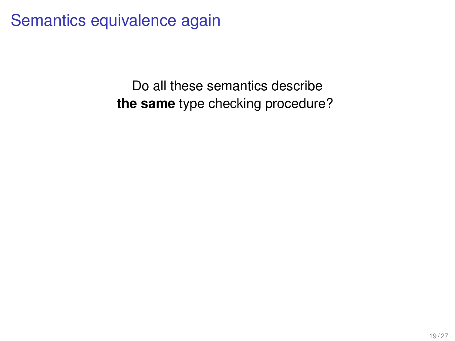Semantics equivalence again

Do all these semantics describe **the same** type checking procedure?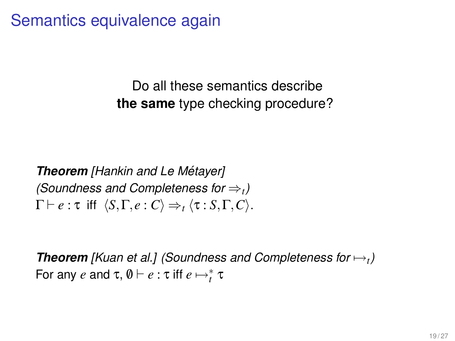Semantics equivalence again

Do all these semantics describe **the same** type checking procedure?

*Theorem [Hankin and Le Metayer] ´ (Soundness and Completeness for* ⇒*<sup>t</sup> )*  $\Gamma \vdash e : \tau$  iff  $\langle S, \Gamma, e : C \rangle \Rightarrow_t \langle \tau : S, \Gamma, C \rangle$ .

*Theorem [Kuan et al.] (Soundness and Completeness for* 7→*<sup>t</sup> )* For any  $e$  and  $\tau$ ,  $\emptyset \vdash e : \tau$  iff  $e \mapsto_t^* \tau$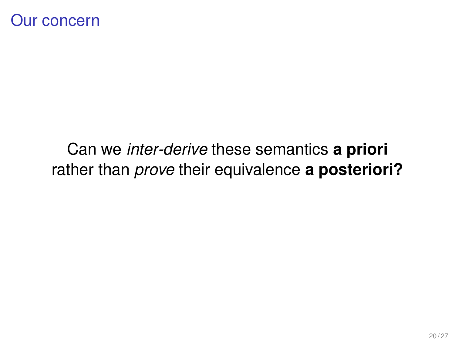## Can we *inter-derive* these semantics **a priori** rather than *prove* their equivalence **a posteriori?**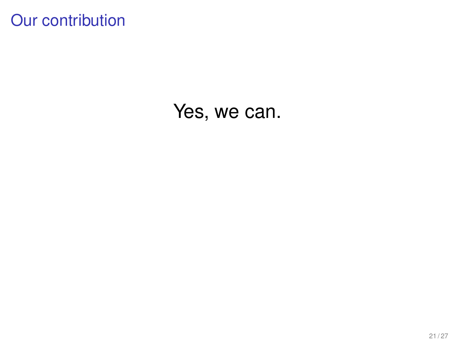## Our contribution

## Yes, we can.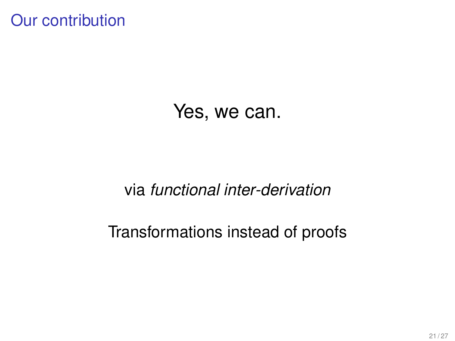Our contribution

## Yes, we can.

#### via *functional inter-derivation*

#### Transformations instead of proofs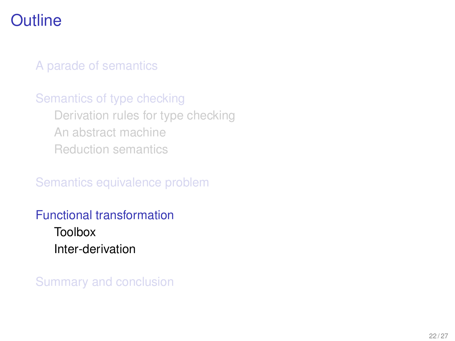## **Outline**

[A parade of semantics](#page-7-0)

[Semantics of type checking](#page-24-0) [Derivation rules for type checking](#page-25-0) [An abstract machine](#page-27-0) [Reduction semantics](#page-29-0)

[Semantics equivalence problem](#page-33-0)

[Functional transformation](#page-39-0)

<span id="page-39-0"></span>[Toolbox](#page-42-0) [Inter-derivation](#page-48-0)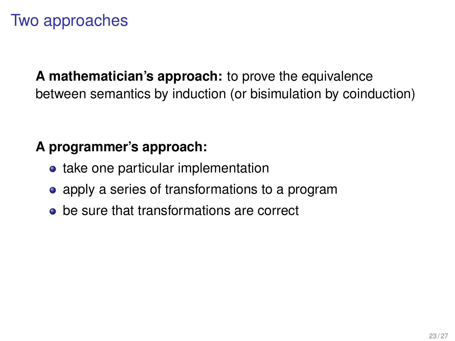## Two approaches

**A mathematician's approach:** to prove the equivalence between semantics by induction (or bisimulation by coinduction)

#### **A programmer's approach:**

- take one particular implementation
- apply a series of transformations to a program
- **•** be sure that transformations are correct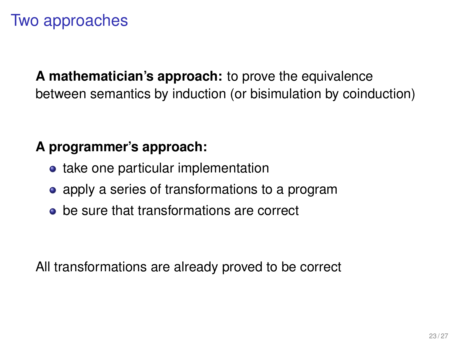## Two approaches

**A mathematician's approach:** to prove the equivalence between semantics by induction (or bisimulation by coinduction)

#### **A programmer's approach:**

- take one particular implementation
- apply a series of transformations to a program
- **•** be sure that transformations are correct

All transformations are already proved to be correct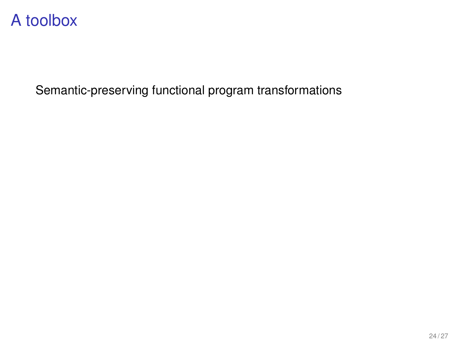<span id="page-42-0"></span>Semantic-preserving functional program transformations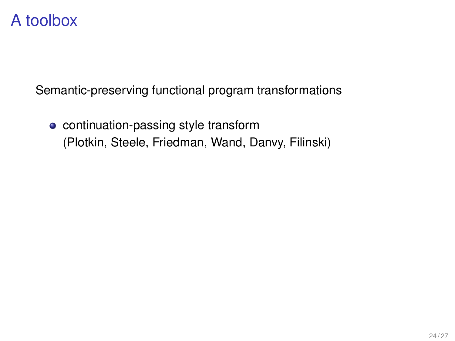Semantic-preserving functional program transformations

• continuation-passing style transform (Plotkin, Steele, Friedman, Wand, Danvy, Filinski)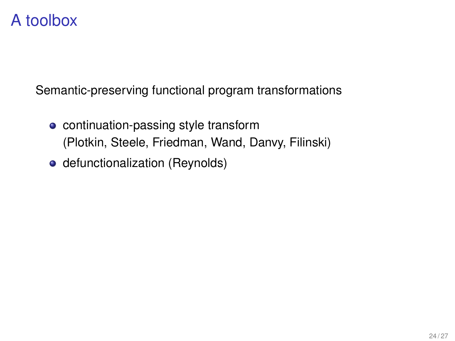Semantic-preserving functional program transformations

- continuation-passing style transform (Plotkin, Steele, Friedman, Wand, Danvy, Filinski)
- defunctionalization (Reynolds)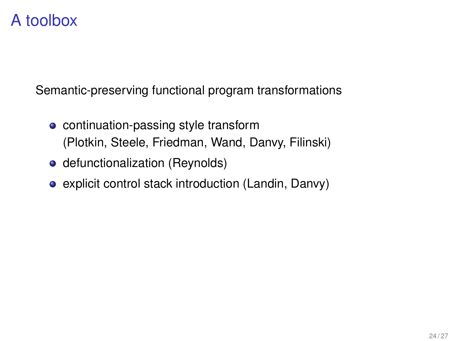Semantic-preserving functional program transformations

- continuation-passing style transform (Plotkin, Steele, Friedman, Wand, Danvy, Filinski)
- defunctionalization (Reynolds)
- explicit control stack introduction (Landin, Danvy)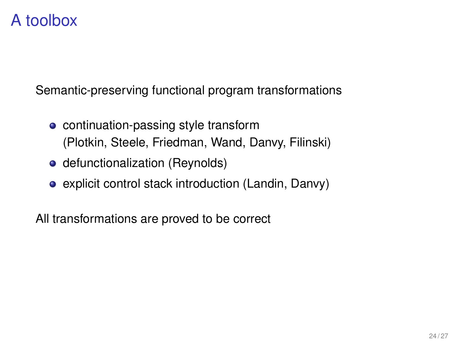Semantic-preserving functional program transformations

- continuation-passing style transform (Plotkin, Steele, Friedman, Wand, Danvy, Filinski)
- defunctionalization (Reynolds)
- explicit control stack introduction (Landin, Danvy)

All transformations are proved to be correct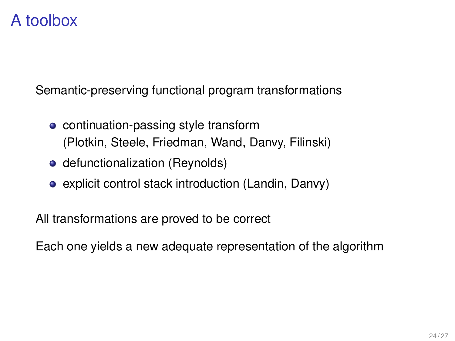Semantic-preserving functional program transformations

- continuation-passing style transform (Plotkin, Steele, Friedman, Wand, Danvy, Filinski)
- defunctionalization (Reynolds)
- explicit control stack introduction (Landin, Danvy)

All transformations are proved to be correct

Each one yields a new adequate representation of the algorithm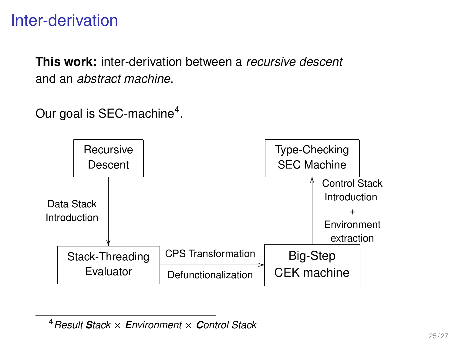## Inter-derivation

**This work:** inter-derivation between a *recursive descent* and an *abstract machine*.

Our goal is SEC-machine<sup>4</sup>.



<span id="page-48-0"></span><sup>4</sup>*Result Stack* × *Environment* × *Control Stack*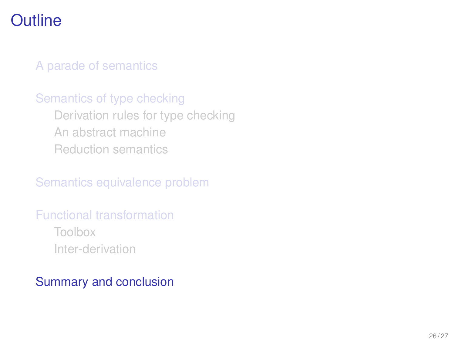## **Outline**

#### [A parade of semantics](#page-7-0)

#### [Semantics of type checking](#page-24-0) [Derivation rules for type checking](#page-25-0) [An abstract machine](#page-27-0) [Reduction semantics](#page-29-0)

[Semantics equivalence problem](#page-33-0)

#### [Functional transformation](#page-39-0) [Toolbox](#page-42-0)

<span id="page-49-0"></span>[Inter-derivation](#page-48-0)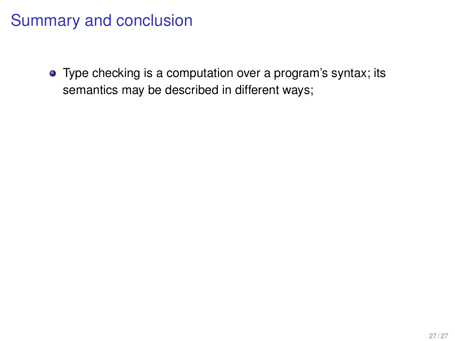Type checking is a computation over a program's syntax; its semantics may be described in different ways;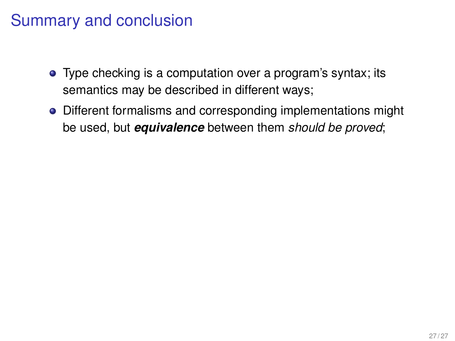- Type checking is a computation over a program's syntax; its semantics may be described in different ways;
- Different formalisms and corresponding implementations might be used, but *equivalence* between them *should be proved*;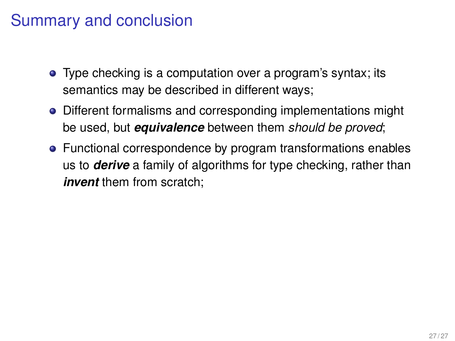- Type checking is a computation over a program's syntax; its semantics may be described in different ways;
- Different formalisms and corresponding implementations might be used, but *equivalence* between them *should be proved*;
- Functional correspondence by program transformations enables us to *derive* a family of algorithms for type checking, rather than *invent* them from scratch: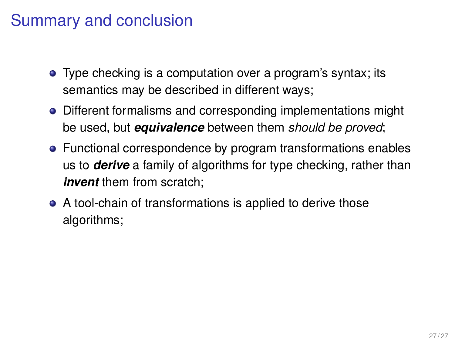- Type checking is a computation over a program's syntax; its semantics may be described in different ways;
- Different formalisms and corresponding implementations might be used, but *equivalence* between them *should be proved*;
- Functional correspondence by program transformations enables us to *derive* a family of algorithms for type checking, rather than *invent* them from scratch:
- A tool-chain of transformations is applied to derive those algorithms;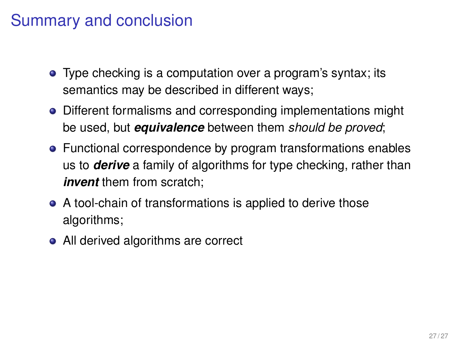- Type checking is a computation over a program's syntax; its semantics may be described in different ways;
- Different formalisms and corresponding implementations might be used, but *equivalence* between them *should be proved*;
- Functional correspondence by program transformations enables us to *derive* a family of algorithms for type checking, rather than *invent* them from scratch:
- A tool-chain of transformations is applied to derive those algorithms;
- All derived algorithms are correct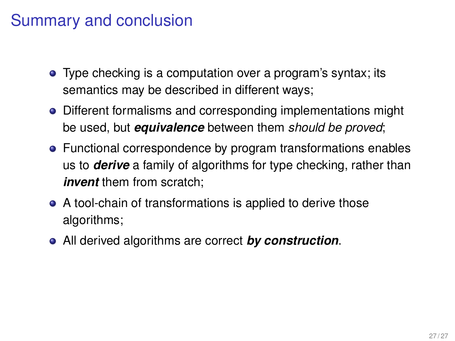- Type checking is a computation over a program's syntax; its semantics may be described in different ways;
- Different formalisms and corresponding implementations might be used, but *equivalence* between them *should be proved*;
- Functional correspondence by program transformations enables us to *derive* a family of algorithms for type checking, rather than *invent* them from scratch:
- A tool-chain of transformations is applied to derive those algorithms;
- All derived algorithms are correct *by construction*.